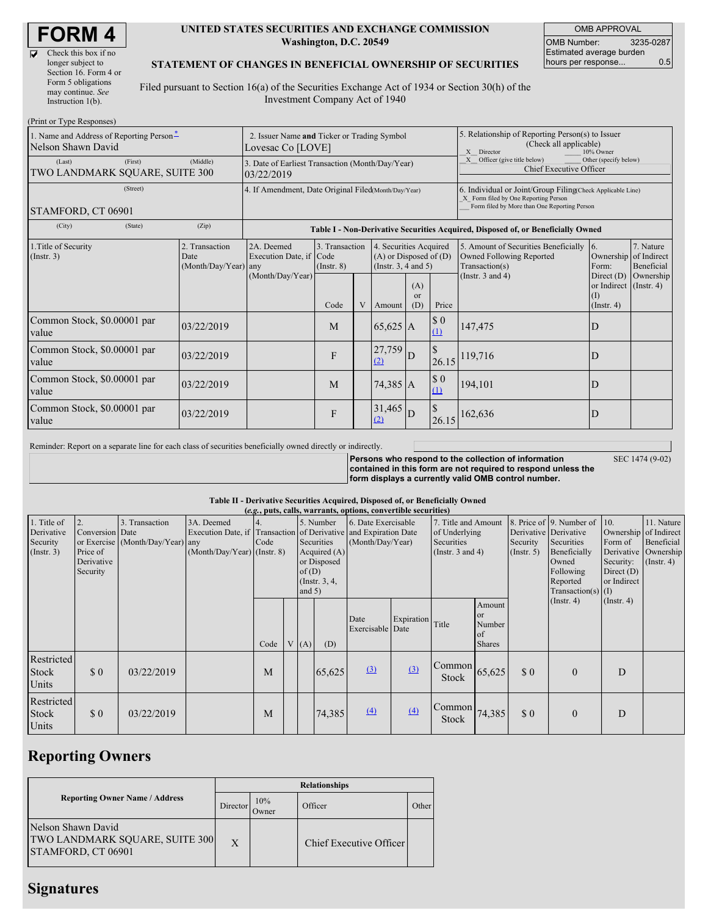| Check this box if no  |
|-----------------------|
| longer subject to     |
| Section 16. Form 4 or |
| Form 5 obligations    |
| may continue. See     |
| Instruction $1(b)$ .  |

 $(Print or True Des)$ 

 $\overline{\mathbf{R}}$ 

#### **UNITED STATES SECURITIES AND EXCHANGE COMMISSION Washington, D.C. 20549**

OMB APPROVAL OMB Number: 3235-0287 Estimated average burden hours per response... 0.5

### **STATEMENT OF CHANGES IN BENEFICIAL OWNERSHIP OF SECURITIES**

Filed pursuant to Section 16(a) of the Securities Exchange Act of 1934 or Section 30(h) of the Investment Company Act of 1940

| $1 \text{ nm}$ or $1 \text{ ypc}$ is $\frac{1}{2}$<br>1. Name and Address of Reporting Person <sup>*</sup><br>Nelson Shawn David | 2. Issuer Name and Ticker or Trading Symbol<br>Lovesac Co [LOVE] |                                                                                  |                                   |   |                                                                                  | 5. Relationship of Reporting Person(s) to Issuer<br>(Check all applicable)<br>X Director<br>10% Owner |                                                                                                                                                    |                                                                                    |                                                                   |                         |
|----------------------------------------------------------------------------------------------------------------------------------|------------------------------------------------------------------|----------------------------------------------------------------------------------|-----------------------------------|---|----------------------------------------------------------------------------------|-------------------------------------------------------------------------------------------------------|----------------------------------------------------------------------------------------------------------------------------------------------------|------------------------------------------------------------------------------------|-------------------------------------------------------------------|-------------------------|
| (Last)<br>(First)<br>TWO LANDMARK SQUARE, SUITE 300                                                                              | 3. Date of Earliest Transaction (Month/Day/Year)<br>03/22/2019   |                                                                                  |                                   |   |                                                                                  | X Officer (give title below)<br>Other (specify below)<br>Chief Executive Officer                      |                                                                                                                                                    |                                                                                    |                                                                   |                         |
| (Street)<br>STAMFORD, CT 06901                                                                                                   | 4. If Amendment, Date Original Filed(Month/Day/Year)             |                                                                                  |                                   |   |                                                                                  |                                                                                                       | 6. Individual or Joint/Group Filing(Check Applicable Line)<br>X Form filed by One Reporting Person<br>Form filed by More than One Reporting Person |                                                                                    |                                                                   |                         |
| (City)<br>(State)                                                                                                                | (Zip)                                                            | Table I - Non-Derivative Securities Acquired, Disposed of, or Beneficially Owned |                                   |   |                                                                                  |                                                                                                       |                                                                                                                                                    |                                                                                    |                                                                   |                         |
| 1. Title of Security<br>$($ Instr. 3 $)$                                                                                         | 2. Transaction<br>Date<br>(Month/Day/Year) any                   | 2A. Deemed<br>Execution Date, if Code<br>(Month/Day/Year)                        | 3. Transaction<br>$($ Instr. $8)$ |   | 4. Securities Acquired<br>$(A)$ or Disposed of $(D)$<br>(Instr. $3, 4$ and $5$ ) |                                                                                                       |                                                                                                                                                    | 5. Amount of Securities Beneficially<br>Owned Following Reported<br>Transaction(s) | 16.<br>Ownership of Indirect<br>Form:                             | 7. Nature<br>Beneficial |
|                                                                                                                                  |                                                                  |                                                                                  | Code                              | V | Amount                                                                           | (A)<br><sub>or</sub><br>(D)                                                                           | Price                                                                                                                                              | (Instr. $3$ and $4$ )                                                              | Direct $(D)$<br>or Indirect (Instr. 4)<br>(I)<br>$($ Instr. 4 $)$ | Ownership               |
| Common Stock, \$0.00001 par<br>value                                                                                             | 03/22/2019                                                       |                                                                                  | M                                 |   | $65,625$ A                                                                       |                                                                                                       | $\sqrt{3}0$<br>(1)                                                                                                                                 | 147,475                                                                            | D                                                                 |                         |
| Common Stock, \$0.00001 par<br>value                                                                                             | 03/22/2019                                                       |                                                                                  | F                                 |   | 27,759<br>(2)                                                                    | D                                                                                                     | 26.15                                                                                                                                              | 119,716                                                                            | D                                                                 |                         |
| Common Stock, \$0.00001 par<br>value                                                                                             | 03/22/2019                                                       |                                                                                  | M                                 |   | 74,385 A                                                                         |                                                                                                       | $\sqrt{3}0$<br>(1)                                                                                                                                 | 194,101                                                                            | D                                                                 |                         |
| Common Stock, \$0.00001 par<br>value                                                                                             | 03/22/2019                                                       |                                                                                  | F                                 |   | 31,465<br>(2)                                                                    | D                                                                                                     | 26.15                                                                                                                                              | 162,636                                                                            | D                                                                 |                         |

Reminder: Report on a separate line for each class of securities beneficially owned directly or indirectly.

**Persons who respond to the collection of information contained in this form are not required to respond unless the form displays a currently valid OMB control number.** SEC 1474 (9-02)

#### **Table II - Derivative Securities Acquired, Disposed of, or Beneficially Owned**

|                                                      | (e.g., puts, calls, warrants, options, convertible securities) |                                                    |                                             |      |  |      |                                                                                                                                                                                                                 |                     |                                                                             |                                                     |                                                                                                                                                                           |     |                                                                                     |                                                                      |  |
|------------------------------------------------------|----------------------------------------------------------------|----------------------------------------------------|---------------------------------------------|------|--|------|-----------------------------------------------------------------------------------------------------------------------------------------------------------------------------------------------------------------|---------------------|-----------------------------------------------------------------------------|-----------------------------------------------------|---------------------------------------------------------------------------------------------------------------------------------------------------------------------------|-----|-------------------------------------------------------------------------------------|----------------------------------------------------------------------|--|
| 1. Title of<br>Derivative<br>Security<br>(Insert. 3) | 2.<br>Conversion Date<br>Price of<br>Derivative<br>Security    | 3. Transaction<br>or Exercise (Month/Day/Year) any | 3A. Deemed<br>$(Month/Day/Year)$ (Instr. 8) | Code |  |      | 5. Number<br>6. Date Exercisable<br>Execution Date, if Transaction of Derivative and Expiration Date<br>Securities<br>(Month/Day/Year)<br>Acquired $(A)$<br>or Disposed<br>of(D)<br>(Instr. $3, 4,$<br>and $5)$ |                     | 7. Title and Amount<br>of Underlying<br>Securities<br>(Instr. $3$ and $4$ ) |                                                     | 8. Price of 9. Number of<br>Derivative Derivative<br>Securities<br>Security<br>Beneficially<br>$($ Instr. 5 $)$<br>Owned<br>Following<br>Reported<br>Transaction(s) $(I)$ |     | 10.<br>Ownership of Indirect<br>Form of<br>Security:<br>Direct $(D)$<br>or Indirect | 11. Nature<br>Beneficial<br>Derivative Ownership<br>$($ Instr. 4 $)$ |  |
|                                                      |                                                                |                                                    |                                             | Code |  | V(A) | (D)                                                                                                                                                                                                             | Date<br>Exercisable | Expiration<br>Date                                                          | Title                                               | Amount<br>or<br>Number<br>of<br><b>Shares</b>                                                                                                                             |     | $($ Instr. 4 $)$                                                                    | $($ Instr. 4 $)$                                                     |  |
| Restricted<br><b>Stock</b><br>Units                  | $\Omega$                                                       | 03/22/2019                                         |                                             | M    |  |      | 65,625                                                                                                                                                                                                          | $\Omega$            | $\Omega$                                                                    | Common<br><b>Stock</b>                              | 65,625                                                                                                                                                                    | \$0 | $\mathbf{0}$                                                                        | D                                                                    |  |
| Restricted<br><b>Stock</b><br>Units                  | \$0                                                            | 03/22/2019                                         |                                             | M    |  |      | 74,385                                                                                                                                                                                                          | $\Delta$            | $\left(4\right)$                                                            | $\left \text{Common}\right $ 74,385<br><b>Stock</b> |                                                                                                                                                                           | \$0 | $\mathbf{0}$                                                                        | D                                                                    |  |

### **Reporting Owners**

|                                                                            | <b>Relationships</b> |              |                         |       |  |  |  |  |  |
|----------------------------------------------------------------------------|----------------------|--------------|-------------------------|-------|--|--|--|--|--|
| <b>Reporting Owner Name / Address</b>                                      | Director             | 10%<br>Owner | Officer                 | Other |  |  |  |  |  |
| Nelson Shawn David<br>TWO LANDMARK SQUARE, SUITE 300<br>STAMFORD, CT 06901 | $\mathbf{X}$         |              | Chief Executive Officer |       |  |  |  |  |  |

## **Signatures**